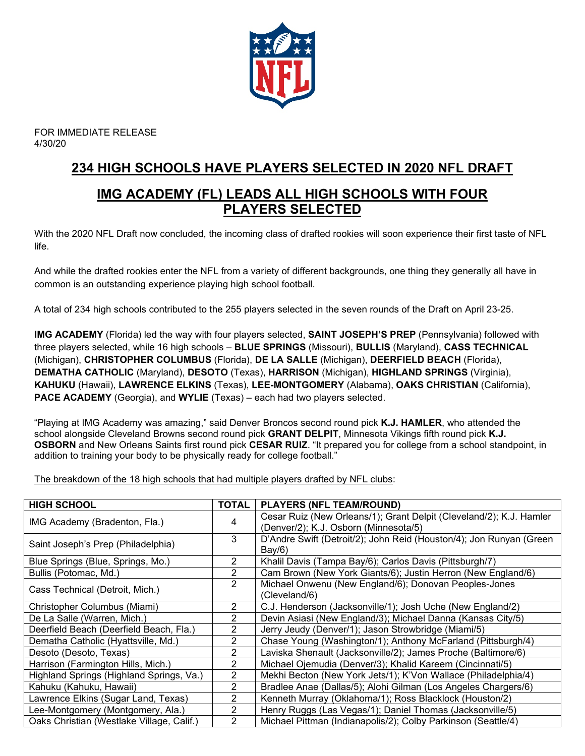

FOR IMMEDIATE RELEASE 4/30/20

# **234 HIGH SCHOOLS HAVE PLAYERS SELECTED IN 2020 NFL DRAFT**

# **IMG ACADEMY (FL) LEADS ALL HIGH SCHOOLS WITH FOUR PLAYERS SELECTED**

With the 2020 NFL Draft now concluded, the incoming class of drafted rookies will soon experience their first taste of NFL life.

And while the drafted rookies enter the NFL from a variety of different backgrounds, one thing they generally all have in common is an outstanding experience playing high school football.

A total of 234 high schools contributed to the 255 players selected in the seven rounds of the Draft on April 23-25.

**IMG ACADEMY** (Florida) led the way with four players selected, **SAINT JOSEPH'S PREP** (Pennsylvania) followed with three players selected, while 16 high schools – **BLUE SPRINGS** (Missouri), **BULLIS** (Maryland), **CASS TECHNICAL** (Michigan), **CHRISTOPHER COLUMBUS** (Florida), **DE LA SALLE** (Michigan), **DEERFIELD BEACH** (Florida), **DEMATHA CATHOLIC** (Maryland), **DESOTO** (Texas), **HARRISON** (Michigan), **HIGHLAND SPRINGS** (Virginia), **KAHUKU** (Hawaii), **LAWRENCE ELKINS** (Texas), **LEE-MONTGOMERY** (Alabama), **OAKS CHRISTIAN** (California), **PACE ACADEMY** (Georgia), and **WYLIE** (Texas) – each had two players selected.

"Playing at IMG Academy was amazing," said Denver Broncos second round pick **K.J. HAMLER**, who attended the school alongside Cleveland Browns second round pick **GRANT DELPIT**, Minnesota Vikings fifth round pick **K.J. OSBORN** and New Orleans Saints first round pick **CESAR RUIZ**. "It prepared you for college from a school standpoint, in addition to training your body to be physically ready for college football."

The breakdown of the 18 high schools that had multiple players drafted by NFL clubs:

| <b>HIGH SCHOOL</b>                        | <b>TOTAL</b> | <b>PLAYERS (NFL TEAM/ROUND)</b>                                     |
|-------------------------------------------|--------------|---------------------------------------------------------------------|
| IMG Academy (Bradenton, Fla.)             | 4            | Cesar Ruiz (New Orleans/1); Grant Delpit (Cleveland/2); K.J. Hamler |
|                                           |              | (Denver/2); K.J. Osborn (Minnesota/5)                               |
| Saint Joseph's Prep (Philadelphia)        | 3            | D'Andre Swift (Detroit/2); John Reid (Houston/4); Jon Runyan (Green |
|                                           |              | Bay/6)                                                              |
| Blue Springs (Blue, Springs, Mo.)         | 2            | Khalil Davis (Tampa Bay/6); Carlos Davis (Pittsburgh/7)             |
| Bullis (Potomac, Md.)                     | 2            | Cam Brown (New York Giants/6); Justin Herron (New England/6)        |
|                                           | 2            | Michael Onwenu (New England/6); Donovan Peoples-Jones               |
| Cass Technical (Detroit, Mich.)           |              | (Cleveland/6)                                                       |
| Christopher Columbus (Miami)              | 2            | C.J. Henderson (Jacksonville/1); Josh Uche (New England/2)          |
| De La Salle (Warren, Mich.)               | 2            | Devin Asiasi (New England/3); Michael Danna (Kansas City/5)         |
| Deerfield Beach (Deerfield Beach, Fla.)   | 2            | Jerry Jeudy (Denver/1); Jason Strowbridge (Miami/5)                 |
| Dematha Catholic (Hyattsville, Md.)       | 2            | Chase Young (Washington/1); Anthony McFarland (Pittsburgh/4)        |
| Desoto (Desoto, Texas)                    | 2            | Laviska Shenault (Jacksonville/2); James Proche (Baltimore/6)       |
| Harrison (Farmington Hills, Mich.)        | 2            | Michael Ojemudia (Denver/3); Khalid Kareem (Cincinnati/5)           |
| Highland Springs (Highland Springs, Va.)  | 2            | Mekhi Becton (New York Jets/1); K'Von Wallace (Philadelphia/4)      |
| Kahuku (Kahuku, Hawaii)                   | 2            | Bradlee Anae (Dallas/5); Alohi Gilman (Los Angeles Chargers/6)      |
| Lawrence Elkins (Sugar Land, Texas)       | 2            | Kenneth Murray (Oklahoma/1); Ross Blacklock (Houston/2)             |
| Lee-Montgomery (Montgomery, Ala.)         | 2            | Henry Ruggs (Las Vegas/1); Daniel Thomas (Jacksonville/5)           |
| Oaks Christian (Westlake Village, Calif.) | 2            | Michael Pittman (Indianapolis/2); Colby Parkinson (Seattle/4)       |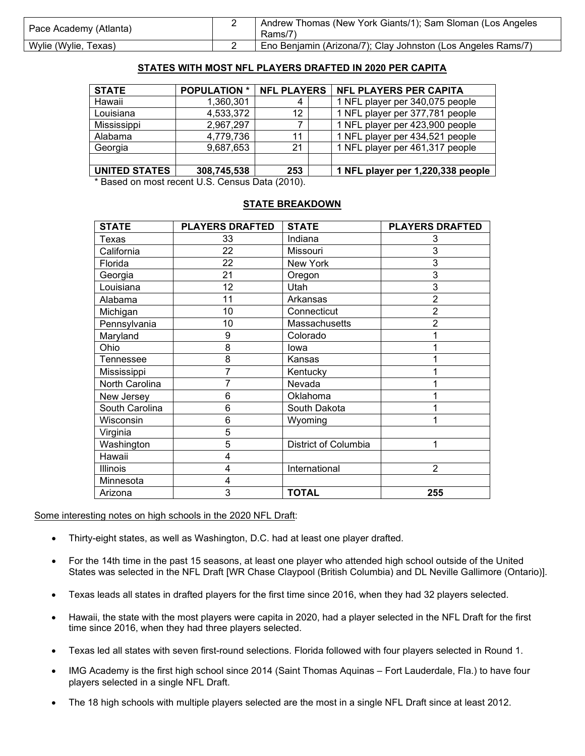| Pace Academy (Atlanta) | Andrew Thomas (New York Giants/1); Sam Sloman (Los Angeles<br>Rams/7) |
|------------------------|-----------------------------------------------------------------------|
| Wylie (Wylie, Texas)   | Eno Benjamin (Arizona/7); Clay Johnston (Los Angeles Rams/7)          |

#### **STATES WITH MOST NFL PLAYERS DRAFTED IN 2020 PER CAPITA**

| <b>STATE</b>  | <b>POPULATION *</b> | <b>NFL PLAYERS</b> | <b>NFL PLAYERS PER CAPITA</b>     |
|---------------|---------------------|--------------------|-----------------------------------|
| Hawaii        | 1,360,301           | 4                  | 1 NFL player per 340,075 people   |
| Louisiana     | 4,533,372           | 12                 | 1 NFL player per 377,781 people   |
| Mississippi   | 2,967,297           |                    | 1 NFL player per 423,900 people   |
| Alabama       | 4,779,736           | 11                 | 1 NFL player per 434,521 people   |
| Georgia       | 9,687,653           | 21                 | 1 NFL player per 461,317 people   |
|               |                     |                    |                                   |
| UNITED STATES | 308,745,538         | 253                | 1 NFL player per 1,220,338 people |

\* Based on most recent U.S. Census Data (2010).

#### **STATE BREAKDOWN**

| <b>STATE</b>   | <b>PLAYERS DRAFTED</b> | <b>STATE</b>         | <b>PLAYERS DRAFTED</b> |
|----------------|------------------------|----------------------|------------------------|
| Texas          | 33                     | Indiana              | 3                      |
| California     | 22                     | Missouri             | 3                      |
| Florida        | 22                     | <b>New York</b>      | 3                      |
| Georgia        | 21                     | Oregon               | $\overline{3}$         |
| Louisiana      | 12                     | Utah                 | $\overline{3}$         |
| Alabama        | 11                     | Arkansas             | $\overline{2}$         |
| Michigan       | 10                     | Connecticut          | $\overline{2}$         |
| Pennsylvania   | 10                     | Massachusetts        | $\overline{2}$         |
| Maryland       | 9                      | Colorado             |                        |
| Ohio           | 8                      | lowa                 |                        |
| Tennessee      | 8                      | Kansas               |                        |
| Mississippi    | 7                      | Kentucky             |                        |
| North Carolina | 7                      | Nevada               |                        |
| New Jersey     | 6                      | Oklahoma             |                        |
| South Carolina | 6                      | South Dakota         |                        |
| Wisconsin      | 6                      | Wyoming              |                        |
| Virginia       | 5                      |                      |                        |
| Washington     | 5                      | District of Columbia | 1                      |
| Hawaii         | 4                      |                      |                        |
| Illinois       | 4                      | International        | $\overline{2}$         |
| Minnesota      | 4                      |                      |                        |
| Arizona        | 3                      | <b>TOTAL</b>         | 255                    |

Some interesting notes on high schools in the 2020 NFL Draft:

- Thirty-eight states, as well as Washington, D.C. had at least one player drafted.
- For the 14th time in the past 15 seasons, at least one player who attended high school outside of the United States was selected in the NFL Draft [WR Chase Claypool (British Columbia) and DL Neville Gallimore (Ontario)].
- Texas leads all states in drafted players for the first time since 2016, when they had 32 players selected.
- Hawaii, the state with the most players were capita in 2020, had a player selected in the NFL Draft for the first time since 2016, when they had three players selected.
- Texas led all states with seven first-round selections. Florida followed with four players selected in Round 1.
- IMG Academy is the first high school since 2014 (Saint Thomas Aquinas Fort Lauderdale, Fla.) to have four players selected in a single NFL Draft.
- The 18 high schools with multiple players selected are the most in a single NFL Draft since at least 2012.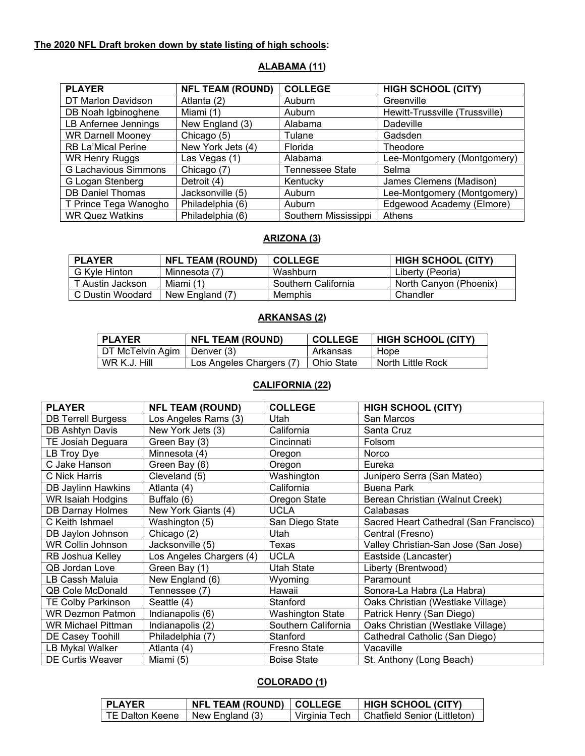# **The 2020 NFL Draft broken down by state listing of high schools:**

| <b>PLAYER</b>             | <b>NFL TEAM (ROUND)</b> | <b>COLLEGE</b>         | <b>HIGH SCHOOL (CITY)</b>      |
|---------------------------|-------------------------|------------------------|--------------------------------|
| DT Marlon Davidson        | Atlanta (2)             | Auburn                 | Greenville                     |
| DB Noah Igbinoghene       | Miami (1)               | Auburn                 | Hewitt-Trussville (Trussville) |
| LB Anfernee Jennings      | New England (3)         | Alabama                | <b>Dadeville</b>               |
| <b>WR Darnell Mooney</b>  | Chicago (5)             | Tulane                 | Gadsden                        |
| <b>RB La'Mical Perine</b> | New York Jets (4)       | Florida                | Theodore                       |
| <b>WR Henry Ruggs</b>     | Las Vegas (1)           | Alabama                | Lee-Montgomery (Montgomery)    |
| G Lachavious Simmons      | Chicago (7)             | <b>Tennessee State</b> | Selma                          |
| G Logan Stenberg          | Detroit (4)             | Kentucky               | James Clemens (Madison)        |
| <b>DB Daniel Thomas</b>   | Jacksonville (5)        | Auburn                 | Lee-Montgomery (Montgomery)    |
| T Prince Tega Wanogho     | Philadelphia (6)        | Auburn                 | Edgewood Academy (Elmore)      |
| <b>WR Quez Watkins</b>    | Philadelphia (6)        | Southern Mississippi   | Athens                         |

#### **ALABAMA (11)**

#### **ARIZONA (3)**

| <b>PLAYER</b>    | <b>NFL TEAM (ROUND)</b> | <b>COLLEGE</b>      | <b>HIGH SCHOOL (CITY)</b> |
|------------------|-------------------------|---------------------|---------------------------|
| G Kyle Hinton    | Minnesota (7)           | Washburn            | Liberty (Peoria)          |
| T Austin Jackson | Miami (1)               | Southern California | North Canyon (Phoenix)    |
| C Dustin Woodard | New England (7)         | Memphis             | Chandler                  |

#### **ARKANSAS (2)**

| <b>PLAYER</b>                 | <b>NFL TEAM (ROUND)</b>  | <b>COLLEGE</b> | HIGH SCHOOL (CITY) |
|-------------------------------|--------------------------|----------------|--------------------|
| DT McTelvin Agim   Denver (3) |                          | Arkansas       | Hope               |
| WR K.J. Hill                  | Los Angeles Chargers (7) | ∣ Ohio State   | North Little Rock  |

### **CALIFORNIA (22)**

| <b>PLAYER</b>             | <b>NFL TEAM (ROUND)</b>  | <b>COLLEGE</b>          | <b>HIGH SCHOOL (CITY)</b>              |
|---------------------------|--------------------------|-------------------------|----------------------------------------|
| <b>DB Terrell Burgess</b> | Los Angeles Rams (3)     | Utah                    | San Marcos                             |
| DB Ashtyn Davis           | New York Jets (3)        | California              | Santa Cruz                             |
| TE Josiah Deguara         | Green Bay (3)            | Cincinnati              | Folsom                                 |
| LB Troy Dye               | Minnesota (4)            | Oregon                  | Norco                                  |
| C Jake Hanson             | Green Bay (6)            | Oregon                  | Eureka                                 |
| C Nick Harris             | Cleveland (5)            | Washington              | Junipero Serra (San Mateo)             |
| DB Jaylinn Hawkins        | Atlanta (4)              | California              | Buena Park                             |
| WR Isaiah Hodgins         | Buffalo (6)              | Oregon State            | Berean Christian (Walnut Creek)        |
| <b>DB Darnay Holmes</b>   | New York Giants (4)      | <b>UCLA</b>             | Calabasas                              |
| C Keith Ishmael           | Washington (5)           | San Diego State         | Sacred Heart Cathedral (San Francisco) |
| DB Jaylon Johnson         | Chicago (2)              | Utah                    | Central (Fresno)                       |
| <b>WR Collin Johnson</b>  | Jacksonville (5)         | Texas                   | Valley Christian-San Jose (San Jose)   |
| RB Joshua Kelley          | Los Angeles Chargers (4) | <b>UCLA</b>             | Eastside (Lancaster)                   |
| <b>QB Jordan Love</b>     | Green Bay (1)            | Utah State              | Liberty (Brentwood)                    |
| LB Cassh Maluia           | New England (6)          | Wyoming                 | Paramount                              |
| <b>QB Cole McDonald</b>   | Tennessee (7)            | Hawaii                  | Sonora-La Habra (La Habra)             |
| <b>TE Colby Parkinson</b> | Seattle (4)              | Stanford                | Oaks Christian (Westlake Village)      |
| <b>WR Dezmon Patmon</b>   | Indianapolis (6)         | <b>Washington State</b> | Patrick Henry (San Diego)              |
| <b>WR Michael Pittman</b> | Indianapolis (2)         | Southern California     | Oaks Christian (Westlake Village)      |
| DE Casey Toohill          | Philadelphia (7)         | Stanford                | Cathedral Catholic (San Diego)         |
| LB Mykal Walker           | Atlanta (4)              | <b>Fresno State</b>     | Vacaville                              |
| <b>DE Curtis Weaver</b>   | Miami (5)                | <b>Boise State</b>      | St. Anthony (Long Beach)               |

### **COLORADO (1)**

| I PLAYER                          | NFL TEAM (ROUND)   COLLEGE |               | <b>HIGH SCHOOL (CITY)</b>    |
|-----------------------------------|----------------------------|---------------|------------------------------|
| TE Dalton Keene   New England (3) |                            | Virginia Tech | Chatfield Senior (Littleton) |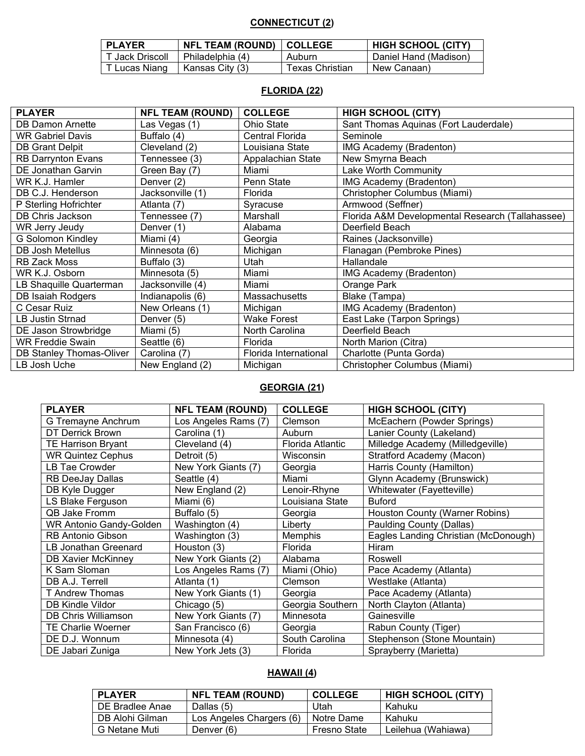# **CONNECTICUT (2)**

| <b>PLAYER</b>   | NFL TEAM (ROUND)   COLLEGE |                        | <b>HIGH SCHOOL (CITY)</b> |
|-----------------|----------------------------|------------------------|---------------------------|
| T Jack Driscoll | l Philadelphia (4)         | Auburn                 | Daniel Hand (Madison)     |
| T Lucas Niang   | Kansas City (3)            | <b>Texas Christian</b> | New Canaan)               |

### **FLORIDA (22)**

| <b>PLAYER</b>             | <b>NFL TEAM (ROUND)</b> | <b>COLLEGE</b>        | <b>HIGH SCHOOL (CITY)</b>                        |
|---------------------------|-------------------------|-----------------------|--------------------------------------------------|
| <b>DB Damon Arnette</b>   | Las Vegas (1)           | Ohio State            | Sant Thomas Aquinas (Fort Lauderdale)            |
| <b>WR Gabriel Davis</b>   | Buffalo (4)             | Central Florida       | Seminole                                         |
| <b>DB Grant Delpit</b>    | Cleveland (2)           | Louisiana State       | IMG Academy (Bradenton)                          |
| <b>RB Darrynton Evans</b> | Tennessee (3)           | Appalachian State     | New Smyrna Beach                                 |
| DE Jonathan Garvin        | Green Bay (7)           | Miami                 | Lake Worth Community                             |
| WR K.J. Hamler            | Denver (2)              | Penn State            | IMG Academy (Bradenton)                          |
| DB C.J. Henderson         | Jacksonville (1)        | Florida               | Christopher Columbus (Miami)                     |
| P Sterling Hofrichter     | Atlanta (7)             | Syracuse              | Armwood (Seffner)                                |
| DB Chris Jackson          | Tennessee (7)           | Marshall              | Florida A&M Developmental Research (Tallahassee) |
| WR Jerry Jeudy            | Denver (1)              | Alabama               | Deerfield Beach                                  |
| <b>G Solomon Kindley</b>  | Miami (4)               | Georgia               | Raines (Jacksonville)                            |
| DB Josh Metellus          | Minnesota (6)           | Michigan              | Flanagan (Pembroke Pines)                        |
| <b>RB Zack Moss</b>       | Buffalo (3)             | Utah                  | Hallandale                                       |
| WR K.J. Osborn            | Minnesota (5)           | Miami                 | IMG Academy (Bradenton)                          |
| LB Shaquille Quarterman   | Jacksonville (4)        | Miami                 | Orange Park                                      |
| DB Isaiah Rodgers         | Indianapolis (6)        | Massachusetts         | Blake (Tampa)                                    |
| C Cesar Ruiz              | New Orleans (1)         | Michigan              | IMG Academy (Bradenton)                          |
| LB Justin Strnad          | Denver (5)              | <b>Wake Forest</b>    | East Lake (Tarpon Springs)                       |
| DE Jason Strowbridge      | Miami (5)               | North Carolina        | Deerfield Beach                                  |
| <b>WR Freddie Swain</b>   | Seattle (6)             | Florida               | North Marion (Citra)                             |
| DB Stanley Thomas-Oliver  | Carolina (7)            | Florida International | Charlotte (Punta Gorda)                          |
| LB Josh Uche              | New England (2)         | Michigan              | Christopher Columbus (Miami)                     |

# **GEORGIA (21)**

| <b>PLAYER</b>                  | <b>NFL TEAM (ROUND)</b> | <b>COLLEGE</b>          | <b>HIGH SCHOOL (CITY)</b>            |
|--------------------------------|-------------------------|-------------------------|--------------------------------------|
| G Tremayne Anchrum             | Los Angeles Rams (7)    | Clemson                 | McEachern (Powder Springs)           |
| <b>DT Derrick Brown</b>        | Carolina (1)            | Auburn                  | Lanier County (Lakeland)             |
| <b>TE Harrison Bryant</b>      | Cleveland (4)           | <b>Florida Atlantic</b> | Milledge Academy (Milledgeville)     |
| <b>WR Quintez Cephus</b>       | Detroit (5)             | Wisconsin               | Stratford Academy (Macon)            |
| <b>LB Tae Crowder</b>          | New York Giants (7)     | Georgia                 | Harris County (Hamilton)             |
| RB DeeJay Dallas               | Seattle (4)             | Miami                   | Glynn Academy (Brunswick)            |
| DB Kyle Dugger                 | New England (2)         | Lenoir-Rhyne            | Whitewater (Fayetteville)            |
| LS Blake Ferguson              | Miami (6)               | Louisiana State         | <b>Buford</b>                        |
| QB Jake Fromm                  | Buffalo (5)             | Georgia                 | Houston County (Warner Robins)       |
| <b>WR Antonio Gandy-Golden</b> | Washington (4)          | Liberty                 | Paulding County (Dallas)             |
| <b>RB Antonio Gibson</b>       | Washington (3)          | <b>Memphis</b>          | Eagles Landing Christian (McDonough) |
| LB Jonathan Greenard           | Houston (3)             | Florida                 | Hiram                                |
| <b>DB Xavier McKinney</b>      | New York Giants (2)     | Alabama                 | Roswell                              |
| K Sam Sloman                   | Los Angeles Rams (7)    | Miami (Ohio)            | Pace Academy (Atlanta)               |
| DB A.J. Terrell                | Atlanta (1)             | Clemson                 | Westlake (Atlanta)                   |
| T Andrew Thomas                | New York Giants (1)     | Georgia                 | Pace Academy (Atlanta)               |
| <b>DB Kindle Vildor</b>        | Chicago (5)             | Georgia Southern        | North Clayton (Atlanta)              |
| <b>DB Chris Williamson</b>     | New York Giants (7)     | Minnesota               | Gainesville                          |
| <b>TE Charlie Woerner</b>      | San Francisco (6)       | Georgia                 | Rabun County (Tiger)                 |
| DE D.J. Wonnum                 | Minnesota (4)           | South Carolina          | Stephenson (Stone Mountain)          |
| DE Jabari Zuniga               | New York Jets (3)       | Florida                 | Sprayberry (Marietta)                |

### **HAWAII (4)**

| <b>PLAYER</b>   | <b>NFL TEAM (ROUND)</b>  | <b>COLLEGE</b>      | <b>HIGH SCHOOL (CITY)</b> |
|-----------------|--------------------------|---------------------|---------------------------|
| DE Bradlee Anae | Dallas (5)               | Utah                | Kahuku                    |
| DB Alohi Gilman | Los Angeles Chargers (6) | Notre Dame          | Kahuku                    |
| G Netane Muti   | Denver (6)               | <b>Fresno State</b> | Leilehua (Wahiawa)        |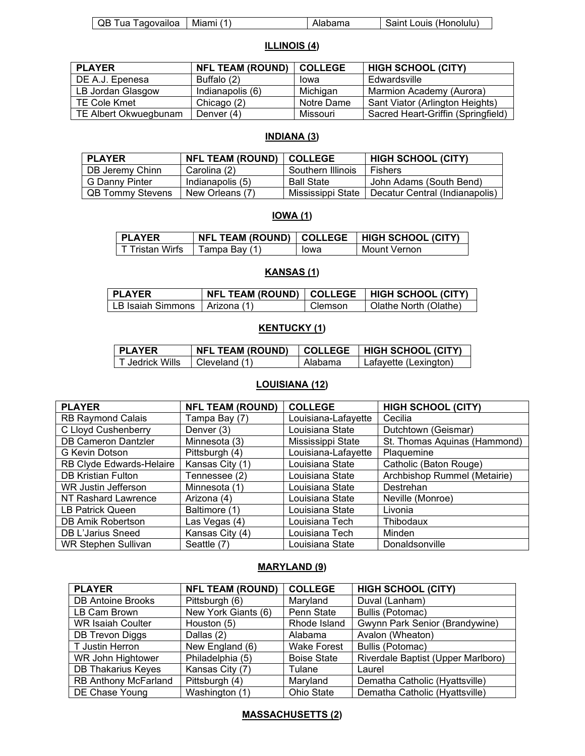| QB Tua     | Miami | $ -$  | Louis (Honolulu |
|------------|-------|-------|-----------------|
| Tagovajloa |       | ipama | Saint :         |

### **ILLINOIS (4)**

| <b>PLAYER</b>         | <b>NFL TEAM (ROUND)</b> | <b>COLLEGE</b> | <b>HIGH SCHOOL (CITY)</b>          |
|-----------------------|-------------------------|----------------|------------------------------------|
| DE A.J. Epenesa       | Buffalo (2)             | lowa           | Edwardsville                       |
| LB Jordan Glasgow     | Indianapolis (6)        | Michigan       | Marmion Academy (Aurora)           |
| TE Cole Kmet          | Chicago (2)             | Notre Dame     | Sant Viator (Arlington Heights)    |
| TE Albert Okwuegbunam | Denver $(4)$            | Missouri       | Sacred Heart-Griffin (Springfield) |

### **INDIANA (3)**

| <b>PLAYER</b>           | <b>NFL TEAM (ROUND)</b> | <b>COLLEGE</b>    | <b>HIGH SCHOOL (CITY)</b>      |
|-------------------------|-------------------------|-------------------|--------------------------------|
| DB Jeremy Chinn         | Carolina (2)            | Southern Illinois | <b>Fishers</b>                 |
| G Danny Pinter          | Indianapolis (5)        | <b>Ball State</b> | John Adams (South Bend)        |
| <b>QB Tommy Stevens</b> | New Orleans (7)         | Mississippi State | Decatur Central (Indianapolis) |

### **IOWA (1)**

| I PLAYER          |                 |      | NFL TEAM (ROUND)   COLLEGE   HIGH SCHOOL (CITY) |
|-------------------|-----------------|------|-------------------------------------------------|
| l T Tristan Wirfs | ∣ Tampa Bay (1) | lowa | Mount Vernon                                    |

# **KANSAS (1)**

| <b>PLAYER</b>                   |         | NFL TEAM (ROUND)   COLLEGE   HIGH SCHOOL (CITY) |
|---------------------------------|---------|-------------------------------------------------|
| LLB Isaiah Simmons LArizona (1) | Clemson | Olathe North (Olathe)                           |

# **KENTUCKY (1)**

| PLAYER        | <b>NFL TEAM (ROUND)</b> | <b>COLLEGE</b> | I HIGH SCHOOL (CITY)  |
|---------------|-------------------------|----------------|-----------------------|
| Jedrick Wills | Cleveland (1)           | Alabama        | Lafavette (Lexington) |

# **LOUISIANA (12)**

| <b>PLAYER</b>              | <b>NFL TEAM (ROUND)</b> | <b>COLLEGE</b>      | <b>HIGH SCHOOL (CITY)</b>    |
|----------------------------|-------------------------|---------------------|------------------------------|
| <b>RB Raymond Calais</b>   | Tampa Bay (7)           | Louisiana-Lafayette | Cecilia                      |
| C Lloyd Cushenberry        | Denver (3)              | Louisiana State     | Dutchtown (Geismar)          |
| <b>DB Cameron Dantzler</b> | Minnesota (3)           | Mississippi State   | St. Thomas Aquinas (Hammond) |
| G Kevin Dotson             | Pittsburgh (4)          | Louisiana-Lafayette | Plaquemine                   |
| RB Clyde Edwards-Helaire   | Kansas City (1)         | Louisiana State     | Catholic (Baton Rouge)       |
| <b>DB Kristian Fulton</b>  | Tennessee (2)           | Louisiana State     | Archbishop Rummel (Metairie) |
| WR Justin Jefferson        | Minnesota (1)           | Louisiana State     | Destrehan                    |
| NT Rashard Lawrence        | Arizona (4)             | Louisiana State     | Neville (Monroe)             |
| LB Patrick Queen           | Baltimore (1)           | Louisiana State     | Livonia                      |
| DB Amik Robertson          | Las Vegas (4)           | Louisiana Tech      | Thibodaux                    |
| DB L'Jarius Sneed          | Kansas City (4)         | Louisiana Tech      | Minden                       |
| <b>WR Stephen Sullivan</b> | Seattle (7)             | Louisiana State     | Donaldsonville               |

# **MARYLAND (9)**

| <b>PLAYER</b>               | <b>NFL TEAM (ROUND)</b> | <b>COLLEGE</b>     | <b>HIGH SCHOOL (CITY)</b>          |
|-----------------------------|-------------------------|--------------------|------------------------------------|
| <b>DB Antoine Brooks</b>    | Pittsburgh (6)          | Maryland           | Duval (Lanham)                     |
| LB Cam Brown                | New York Giants (6)     | Penn State         | Bullis (Potomac)                   |
| <b>WR Isaiah Coulter</b>    | Houston (5)             | Rhode Island       | Gwynn Park Senior (Brandywine)     |
| DB Trevon Diggs             | Dallas (2)              | Alabama            | Avalon (Wheaton)                   |
| T Justin Herron             | New England (6)         | <b>Wake Forest</b> | Bullis (Potomac)                   |
| WR John Hightower           | Philadelphia (5)        | <b>Boise State</b> | Riverdale Baptist (Upper Marlboro) |
| <b>DB Thakarius Keyes</b>   | Kansas City (7)         | Tulane             | Laurel                             |
| <b>RB Anthony McFarland</b> | Pittsburgh (4)          | Maryland           | Dematha Catholic (Hyattsville)     |
| DE Chase Young              | Washington (1)          | Ohio State         | Dematha Catholic (Hyattsville)     |

### **MASSACHUSETTS (2)**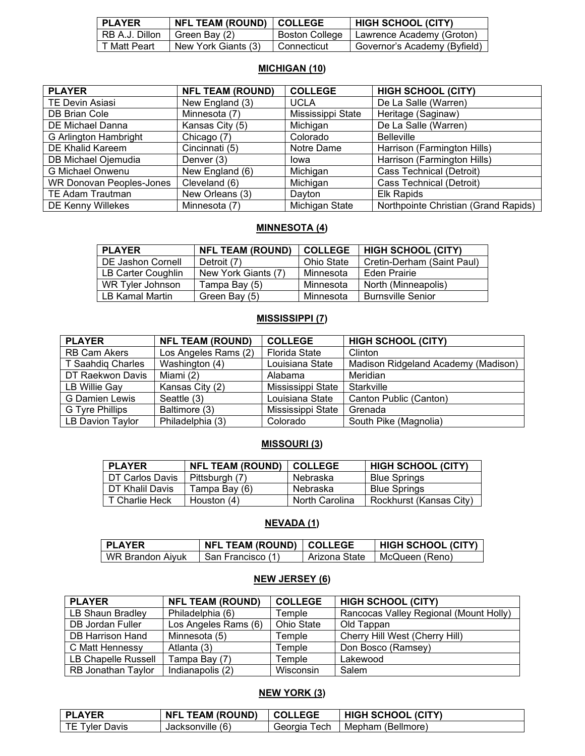| <b>PLAYER</b>  | NFL TEAM (ROUND)   COLLEGE |                       | <b>HIGH SCHOOL (CITY)</b>    |
|----------------|----------------------------|-----------------------|------------------------------|
| RB A.J. Dillon | ∣ Green Bay (2)            | <b>Boston College</b> | Lawrence Academy (Groton)    |
| T Matt Peart   | New York Giants (3)        | Connecticut           | Governor's Academy (Byfield) |

# **MICHIGAN (10)**

| <b>PLAYER</b>                   | <b>NFL TEAM (ROUND)</b> | <b>COLLEGE</b>    | <b>HIGH SCHOOL (CITY)</b>            |
|---------------------------------|-------------------------|-------------------|--------------------------------------|
| <b>TE Devin Asiasi</b>          | New England (3)         | <b>UCLA</b>       | De La Salle (Warren)                 |
| DB Brian Cole                   | Minnesota (7)           | Mississippi State | Heritage (Saginaw)                   |
| DE Michael Danna                | Kansas City (5)         | Michigan          | De La Salle (Warren)                 |
| G Arlington Hambright           | Chicago (7)             | Colorado          | <b>Belleville</b>                    |
| DE Khalid Kareem                | Cincinnati (5)          | Notre Dame        | Harrison (Farmington Hills)          |
| DB Michael Ojemudia             | Denver (3)              | lowa              | Harrison (Farmington Hills)          |
| G Michael Onwenu                | New England (6)         | Michigan          | Cass Technical (Detroit)             |
| <b>WR Donovan Peoples-Jones</b> | Cleveland (6)           | Michigan          | Cass Technical (Detroit)             |
| <b>TE Adam Trautman</b>         | New Orleans (3)         | Dayton            | Elk Rapids                           |
| DE Kenny Willekes               | Minnesota (7)           | Michigan State    | Northpointe Christian (Grand Rapids) |

### **MINNESOTA (4)**

| <b>PLAYER</b>            | <b>NFL TEAM (ROUND)</b> | <b>COLLEGE</b> | <b>HIGH SCHOOL (CITY)</b>  |
|--------------------------|-------------------------|----------------|----------------------------|
| <b>DE Jashon Cornell</b> | Detroit (7)             | Ohio State     | Cretin-Derham (Saint Paul) |
| LB Carter Coughlin       | New York Giants (7)     | Minnesota      | Eden Prairie               |
| WR Tyler Johnson         | Tampa Bay (5)           | Minnesota      | North (Minneapolis)        |
| <b>LB Kamal Martin</b>   | Green Bay (5)           | Minnesota      | <b>Burnsville Senior</b>   |

#### **MISSISSIPPI (7)**

| <b>PLAYER</b>       | <b>NFL TEAM (ROUND)</b> | <b>COLLEGE</b>       | <b>HIGH SCHOOL (CITY)</b>           |
|---------------------|-------------------------|----------------------|-------------------------------------|
| <b>RB Cam Akers</b> | Los Angeles Rams (2)    | <b>Florida State</b> | Clinton                             |
| T Saahdig Charles   | Washington (4)          | Louisiana State      | Madison Ridgeland Academy (Madison) |
| DT Raekwon Davis    | Miami (2)               | Alabama              | Meridian                            |
| LB Willie Gay       | Kansas City (2)         | Mississippi State    | Starkville                          |
| G Damien Lewis      | Seattle (3)             | Louisiana State      | Canton Public (Canton)              |
| G Tyre Phillips     | Baltimore (3)           | Mississippi State    | Grenada                             |
| LB Davion Taylor    | Philadelphia (3)        | Colorado             | South Pike (Magnolia)               |

# **MISSOURI (3)**

| <b>PLAYER</b>   | <b>NFL TEAM (ROUND)   COLLEGE</b> |                | <b>HIGH SCHOOL (CITY)</b> |
|-----------------|-----------------------------------|----------------|---------------------------|
| DT Carlos Davis | Pittsburgh (7)                    | Nebraska       | <b>Blue Springs</b>       |
| DT Khalil Davis | Tampa Bay (6)                     | Nebraska       | <b>Blue Springs</b>       |
| T Charlie Heck  | Houston $(4)$                     | North Carolina | Rockhurst (Kansas City)   |

### **NEVADA (1)**

| <b>PLAYER</b>    | <b>NFL TEAM (ROUND)   COLLEGE</b> |               | <b>HIGH SCHOOL (CITY)</b> |
|------------------|-----------------------------------|---------------|---------------------------|
| WR Brandon Aivuk | I San Francisco (1)               | Arizona State | McQueen (Reno)            |

# **NEW JERSEY (6)**

| <b>PLAYER</b>             | <b>NFL TEAM (ROUND)</b> | <b>COLLEGE</b> | <b>HIGH SCHOOL (CITY)</b>              |
|---------------------------|-------------------------|----------------|----------------------------------------|
| LB Shaun Bradley          | Philadelphia (6)        | Temple         | Rancocas Valley Regional (Mount Holly) |
| DB Jordan Fuller          | Los Angeles Rams (6)    | Ohio State     | Old Tappan                             |
| <b>DB Harrison Hand</b>   | Minnesota (5)           | Temple         | Cherry Hill West (Cherry Hill)         |
| C Matt Hennessy           | Atlanta (3)             | Temple         | Don Bosco (Ramsey)                     |
| LB Chapelle Russell       | Tampa Bay (7)           | Temple         | Lakewood                               |
| <b>RB Jonathan Taylor</b> | Indianapolis (2)        | Wisconsin      | Salem                                  |

### **NEW YORK (3)**

| <b>PLAYER</b>  | <b>TEAM (ROUND)</b><br><b>NFL</b> | <b>COLLEGE</b>  | <b>HIGH SCHOOL (CITY)</b> |
|----------------|-----------------------------------|-----------------|---------------------------|
| TE Tyler Davis | (6)<br>Jacksonville /             | Georgia<br>Tech | Mepham (Bellmore)         |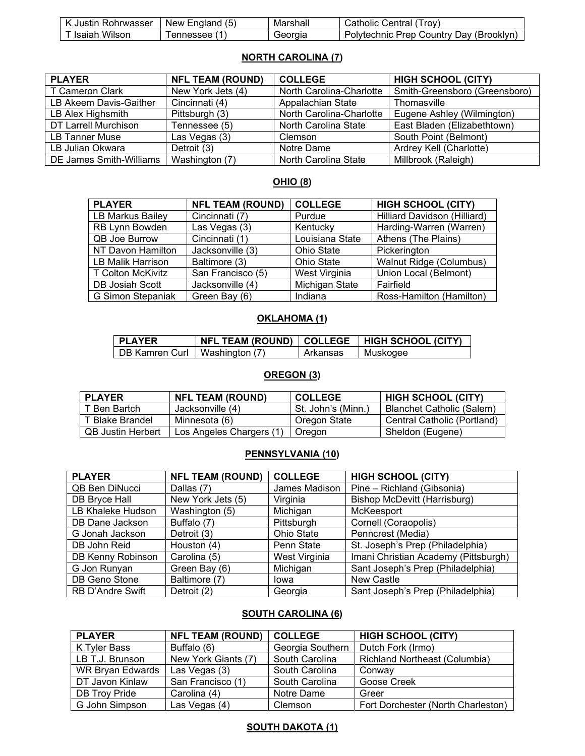| . Justin l              | ∵England . | Marshall | . I rov'                                               |
|-------------------------|------------|----------|--------------------------------------------------------|
| Rohrwasser              | New        |          | Catholic                                               |
| к                       | (5)        |          | Central /                                              |
| Wilson<br><b>Isaiah</b> | ennessee   | Georgia  | : (Brooklyn,<br>'-olvtechnic<br>∴Country Dav<br>. Prep |

### **NORTH CAROLINA (7)**

| <b>PLAYER</b>           | <b>NFL TEAM (ROUND)</b> | <b>COLLEGE</b>           | <b>HIGH SCHOOL (CITY)</b>     |
|-------------------------|-------------------------|--------------------------|-------------------------------|
| T Cameron Clark         | New York Jets (4)       | North Carolina-Charlotte | Smith-Greensboro (Greensboro) |
| LB Akeem Davis-Gaither  | Cincinnati (4)          | Appalachian State        | Thomasville                   |
| LB Alex Highsmith       | Pittsburgh (3)          | North Carolina-Charlotte | Eugene Ashley (Wilmington)    |
| DT Larrell Murchison    | Tennessee (5)           | North Carolina State     | East Bladen (Elizabethtown)   |
| LB Tanner Muse          | Las Vegas (3)           | Clemson                  | South Point (Belmont)         |
| LB Julian Okwara        | Detroit (3)             | Notre Dame               | Ardrey Kell (Charlotte)       |
| DE James Smith-Williams | Washington (7)          | North Carolina State     | Millbrook (Raleigh)           |

### **OHIO (8)**

| <b>PLAYER</b>            | <b>NFL TEAM (ROUND)</b> | <b>COLLEGE</b>    | <b>HIGH SCHOOL (CITY)</b>    |
|--------------------------|-------------------------|-------------------|------------------------------|
| LB Markus Bailey         | Cincinnati (7)          | Purdue            | Hilliard Davidson (Hilliard) |
| RB Lynn Bowden           | Las Vegas (3)           | Kentucky          | Harding-Warren (Warren)      |
| <b>QB Joe Burrow</b>     | Cincinnati (1)          | Louisiana State   | Athens (The Plains)          |
| NT Davon Hamilton        | Jacksonville (3)        | Ohio State        | Pickerington                 |
| <b>LB Malik Harrison</b> | Baltimore (3)           | <b>Ohio State</b> | Walnut Ridge (Columbus)      |
| <b>T Colton McKivitz</b> | San Francisco (5)       | West Virginia     | Union Local (Belmont)        |
| DB Josiah Scott          | Jacksonville (4)        | Michigan State    | Fairfield                    |
| G Simon Stepaniak        | Green Bay (6)           | Indiana           | Ross-Hamilton (Hamilton)     |

### **OKLAHOMA (1)**

| <b>I PLAYER</b>                 |          | NFL TEAM (ROUND)   COLLEGE   HIGH SCHOOL (CITY) |
|---------------------------------|----------|-------------------------------------------------|
| DB Kamren Curl   Washington (7) | Arkansas | Muskogee                                        |

# **OREGON (3)**

| <b>PLAYER</b>            | <b>NFL TEAM (ROUND)</b>  | <b>COLLEGE</b>     | <b>HIGH SCHOOL (CITY)</b>        |
|--------------------------|--------------------------|--------------------|----------------------------------|
| ' Ben Bartch i           | Jacksonville (4)         | St. John's (Minn.) | <b>Blanchet Catholic (Salem)</b> |
| Blake Brandel            | Minnesota (6)            | Oregon State       | Central Catholic (Portland)      |
| <b>QB Justin Herbert</b> | Los Angeles Chargers (1) | Oregon             | Sheldon (Eugene)                 |

### **PENNSYLVANIA (10)**

| <b>PLAYER</b>           | <b>NFL TEAM (ROUND)</b> | <b>COLLEGE</b>    | <b>HIGH SCHOOL (CITY)</b>            |
|-------------------------|-------------------------|-------------------|--------------------------------------|
| QB Ben DiNucci          | Dallas (7)              | James Madison     | Pine - Richland (Gibsonia)           |
| DB Bryce Hall           | New York Jets (5)       | Virginia          | <b>Bishop McDevitt (Harrisburg)</b>  |
| LB Khaleke Hudson       | Washington (5)          | Michigan          | McKeesport                           |
| DB Dane Jackson         | Buffalo (7)             | Pittsburgh        | Cornell (Coraopolis)                 |
| G Jonah Jackson         | Detroit (3)             | <b>Ohio State</b> | Penncrest (Media)                    |
| DB John Reid            | Houston (4)             | Penn State        | St. Joseph's Prep (Philadelphia)     |
| DB Kenny Robinson       | Carolina (5)            | West Virginia     | Imani Christian Academy (Pittsburgh) |
| G Jon Runyan            | Green Bay (6)           | Michigan          | Sant Joseph's Prep (Philadelphia)    |
| DB Geno Stone           | Baltimore (7)           | lowa              | <b>New Castle</b>                    |
| <b>RB D'Andre Swift</b> | Detroit (2)             | Georgia           | Sant Joseph's Prep (Philadelphia)    |

### **SOUTH CAROLINA (6)**

| <b>PLAYER</b>    | <b>NFL TEAM (ROUND)</b> | <b>COLLEGE</b>   | <b>HIGH SCHOOL (CITY)</b>            |
|------------------|-------------------------|------------------|--------------------------------------|
| K Tyler Bass     | Buffalo (6)             | Georgia Southern | Dutch Fork (Irmo)                    |
| LB T.J. Brunson  | New York Giants (7)     | South Carolina   | <b>Richland Northeast (Columbia)</b> |
| WR Bryan Edwards | Las Vegas (3)           | South Carolina   | Conway                               |
| DT Javon Kinlaw  | San Francisco (1)       | South Carolina   | Goose Creek                          |
| DB Troy Pride    | Carolina (4)            | Notre Dame       | Greer                                |
| G John Simpson   | Las Vegas (4)           | Clemson          | Fort Dorchester (North Charleston)   |

# **SOUTH DAKOTA (1)**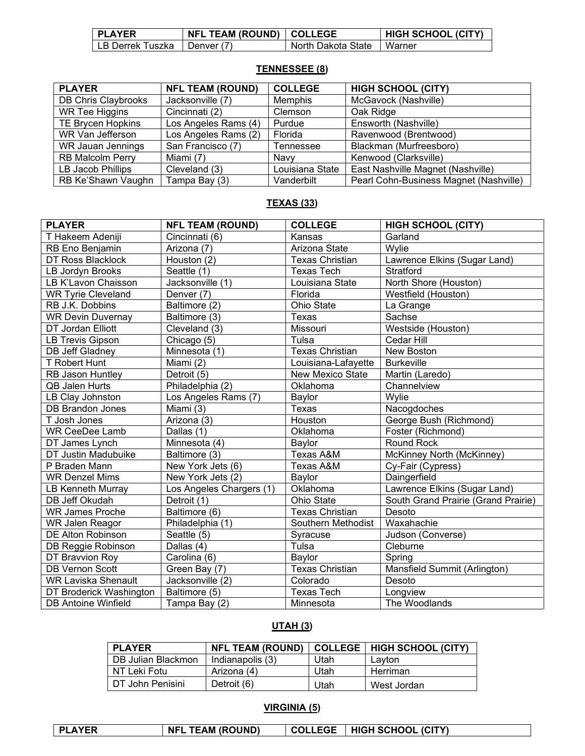| <b>PLAYER</b>                 | <b>NFL TEAM (ROUND)   COLLEGE</b> |                             | <b>HIGH SCHOOL (CITY)</b> |
|-------------------------------|-----------------------------------|-----------------------------|---------------------------|
| LB Derrek Tuszka I Denver (7) |                                   | North Dakota State   Warner |                           |

### **TENNESSEE (8)**

| <b>PLAYER</b>            | <b>NFL TEAM (ROUND)</b> | <b>COLLEGE</b>  | <b>HIGH SCHOOL (CITY)</b>              |
|--------------------------|-------------------------|-----------------|----------------------------------------|
| DB Chris Claybrooks      | Jacksonville (7)        | Memphis         | McGavock (Nashville)                   |
| <b>WR Tee Higgins</b>    | Cincinnati (2)          | Clemson         | Oak Ridge                              |
| <b>TE Brycen Hopkins</b> | Los Angeles Rams (4)    | Purdue          | Ensworth (Nashville)                   |
| WR Van Jefferson         | Los Angeles Rams (2)    | Florida         | Ravenwood (Brentwood)                  |
| WR Jauan Jennings        | San Francisco (7)       | Tennessee       | Blackman (Murfreesboro)                |
| <b>RB Malcolm Perry</b>  | Miami (7)               | Navv            | Kenwood (Clarksville)                  |
| LB Jacob Phillips        | Cleveland (3)           | Louisiana State | East Nashville Magnet (Nashville)      |
| RB Ke'Shawn Vaughn       | Tampa Bay (3)           | Vanderbilt      | Pearl Cohn-Business Magnet (Nashville) |

### **TEXAS (33)**

| <b>PLAYER</b>              | <b>NFL TEAM (ROUND)</b>  | <b>COLLEGE</b>          | <b>HIGH SCHOOL (CITY)</b>           |
|----------------------------|--------------------------|-------------------------|-------------------------------------|
| T Hakeem Adeniji           | Cincinnati (6)           | Kansas                  | Garland                             |
| RB Eno Benjamin            | Arizona (7)              | Arizona State           | Wylie                               |
| DT Ross Blacklock          | Houston (2)              | <b>Texas Christian</b>  | Lawrence Elkins (Sugar Land)        |
| LB Jordyn Brooks           | Seattle (1)              | <b>Texas Tech</b>       | Stratford                           |
| LB K'Lavon Chaisson        | Jacksonville (1)         | Louisiana State         | North Shore (Houston)               |
| <b>WR Tyrie Cleveland</b>  | Denver (7)               | Florida                 | Westfield (Houston)                 |
| RB J.K. Dobbins            | Baltimore (2)            | Ohio State              | La Grange                           |
| <b>WR Devin Duvernay</b>   | Baltimore (3)            | Texas                   | Sachse                              |
| DT Jordan Elliott          | Cleveland (3)            | Missouri                | Westside (Houston)                  |
| <b>LB Trevis Gipson</b>    | Chicago (5)              | Tulsa                   | Cedar Hill                          |
| DB Jeff Gladney            | Minnesota (1)            | <b>Texas Christian</b>  | New Boston                          |
| T Robert Hunt              | Miami (2)                | Louisiana-Lafayette     | <b>Burkeville</b>                   |
| <b>RB Jason Huntley</b>    | Detroit (5)              | <b>New Mexico State</b> | Martin (Laredo)                     |
| <b>QB Jalen Hurts</b>      | Philadelphia (2)         | Oklahoma                | Channelview                         |
| LB Clay Johnston           | Los Angeles Rams (7)     | Baylor                  | Wylie                               |
| <b>DB Brandon Jones</b>    | Miami (3)                | Texas                   | Nacogdoches                         |
| T Josh Jones               | Arizona (3)              | Houston                 | George Bush (Richmond)              |
| <b>WR CeeDee Lamb</b>      | Dallas (1)               | Oklahoma                | Foster (Richmond)                   |
| DT James Lynch             | Minnesota (4)            | Baylor                  | <b>Round Rock</b>                   |
| DT Justin Madubuike        | Baltimore (3)            | Texas A&M               | McKinney North (McKinney)           |
| P Braden Mann              | New York Jets (6)        | Texas A&M               | Cy-Fair (Cypress)                   |
| <b>WR Denzel Mims</b>      | New York Jets (2)        | Baylor                  | Daingerfield                        |
| <b>LB Kenneth Murray</b>   | Los Angeles Chargers (1) | Oklahoma                | Lawrence Elkins (Sugar Land)        |
| DB Jeff Okudah             | Detroit (1)              | <b>Ohio State</b>       | South Grand Prairie (Grand Prairie) |
| <b>WR James Proche</b>     | Baltimore (6)            | <b>Texas Christian</b>  | Desoto                              |
| <b>WR Jalen Reagor</b>     | Philadelphia (1)         | Southern Methodist      | Waxahachie                          |
| <b>DE Alton Robinson</b>   | Seattle (5)              | Syracuse                | Judson (Converse)                   |
| DB Reggie Robinson         | Dallas (4)               | Tulsa                   | Cleburne                            |
| DT Bravvion Roy            | Carolina (6)             | Baylor                  | Spring                              |
| <b>DB Vernon Scott</b>     | Green Bay (7)            | <b>Texas Christian</b>  | Mansfield Summit (Arlington)        |
| <b>WR Laviska Shenault</b> | Jacksonville (2)         | Colorado                | Desoto                              |
| DT Broderick Washington    | Baltimore (5)            | <b>Texas Tech</b>       | Longview                            |
| <b>DB Antoine Winfield</b> | Tampa Bay (2)            | Minnesota               | The Woodlands                       |

# **UTAH (3)**

| <b>PLAYER</b>      | <b>NFL TEAM (ROUND)</b> |      | COLLEGE   HIGH SCHOOL (CITY) |
|--------------------|-------------------------|------|------------------------------|
| DB Julian Blackmon | Indianapolis (3)        | Utah | Lavton                       |
| NT Leki Fotu       | Arizona (4)             | Utah | Herriman                     |
| DT John Penisini   | Detroit (6)             | Utah | West Jordan                  |

# **VIRGINIA (5)**

|  | <b>PLAYER</b> | <b>NFL TEAM (ROUND)</b> |  | COLLEGE   HIGH SCHOOL (CITY) |  |
|--|---------------|-------------------------|--|------------------------------|--|
|--|---------------|-------------------------|--|------------------------------|--|